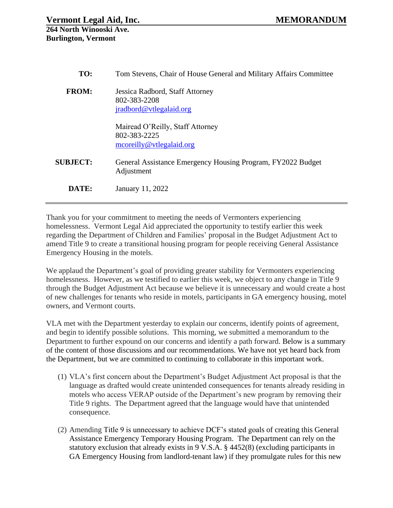| TO:             | Tom Stevens, Chair of House General and Military Affairs Committee            |
|-----------------|-------------------------------------------------------------------------------|
| <b>FROM:</b>    | Jessica Radbord, Staff Attorney<br>802-383-2208<br>jradbord@vtlegalaid.org    |
|                 | Mairead O'Reilly, Staff Attorney<br>802-383-2225<br>mcore illy@vtlegalaid.org |
| <b>SUBJECT:</b> | General Assistance Emergency Housing Program, FY2022 Budget<br>Adjustment     |
| DATE:           | January 11, 2022                                                              |

Thank you for your commitment to meeting the needs of Vermonters experiencing homelessness. Vermont Legal Aid appreciated the opportunity to testify earlier this week regarding the Department of Children and Families' proposal in the Budget Adjustment Act to amend Title 9 to create a transitional housing program for people receiving General Assistance Emergency Housing in the motels.

We applaud the Department's goal of providing greater stability for Vermonters experiencing homelessness. However, as we testified to earlier this week, we object to any change in Title 9 through the Budget Adjustment Act because we believe it is unnecessary and would create a host of new challenges for tenants who reside in motels, participants in GA emergency housing, motel owners, and Vermont courts.

VLA met with the Department yesterday to explain our concerns, identify points of agreement, and begin to identify possible solutions. This morning, we submitted a memorandum to the Department to further expound on our concerns and identify a path forward. Below is a summary of the content of those discussions and our recommendations. We have not yet heard back from the Department, but we are committed to continuing to collaborate in this important work.

- (1) VLA's first concern about the Department's Budget Adjustment Act proposal is that the language as drafted would create unintended consequences for tenants already residing in motels who access VERAP outside of the Department's new program by removing their Title 9 rights. The Department agreed that the language would have that unintended consequence.
- (2) Amending Title 9 is unnecessary to achieve DCF's stated goals of creating this General Assistance Emergency Temporary Housing Program. The Department can rely on the statutory exclusion that already exists in 9 V.S.A. § 4452(8) (excluding participants in GA Emergency Housing from landlord-tenant law) if they promulgate rules for this new